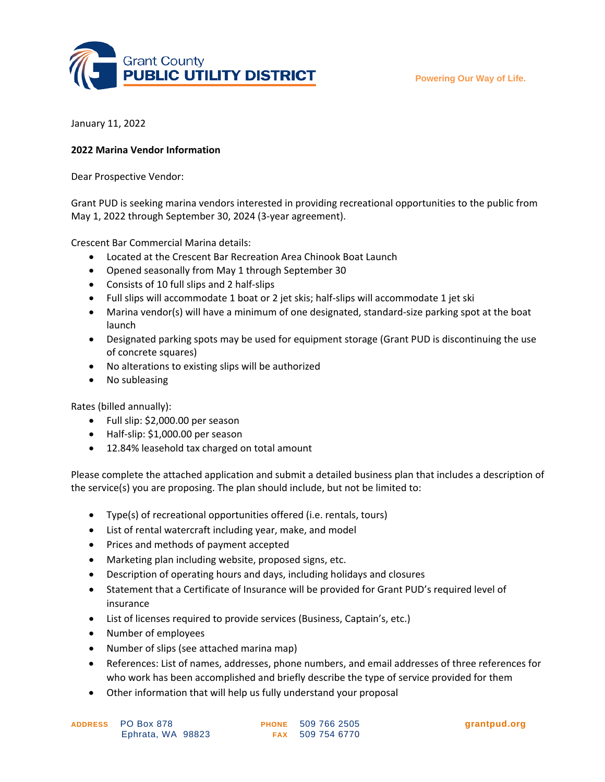**Powering Our Way of Life.**



January 11, 2022

## **2022 Marina Vendor Information**

Dear Prospective Vendor:

Grant PUD is seeking marina vendors interested in providing recreational opportunities to the public from May 1, 2022 through September 30, 2024 (3-year agreement).

Crescent Bar Commercial Marina details:

- Located at the Crescent Bar Recreation Area Chinook Boat Launch
- Opened seasonally from May 1 through September 30
- Consists of 10 full slips and 2 half-slips
- Full slips will accommodate 1 boat or 2 jet skis; half-slips will accommodate 1 jet ski
- Marina vendor(s) will have a minimum of one designated, standard-size parking spot at the boat launch
- Designated parking spots may be used for equipment storage (Grant PUD is discontinuing the use of concrete squares)
- No alterations to existing slips will be authorized
- No subleasing

Rates (billed annually):

- Full slip: \$2,000.00 per season
- Half-slip: \$1,000.00 per season
- 12.84% leasehold tax charged on total amount

Please complete the attached application and submit a detailed business plan that includes a description of the service(s) you are proposing. The plan should include, but not be limited to:

- Type(s) of recreational opportunities offered (i.e. rentals, tours)
- List of rental watercraft including year, make, and model
- Prices and methods of payment accepted
- Marketing plan including website, proposed signs, etc.
- Description of operating hours and days, including holidays and closures
- Statement that a Certificate of Insurance will be provided for Grant PUD's required level of insurance
- List of licenses required to provide services (Business, Captain's, etc.)
- Number of employees
- Number of slips (see attached marina map)

- References: List of names, addresses, phone numbers, and email addresses of three references for who work has been accomplished and briefly describe the type of service provided for them
- Other information that will help us fully understand your proposal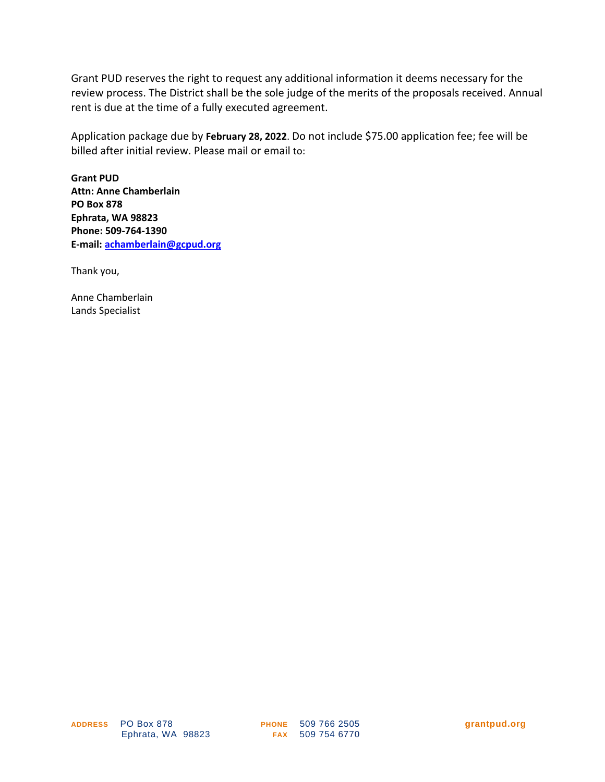Grant PUD reserves the right to request any additional information it deems necessary for the review process. The District shall be the sole judge of the merits of the proposals received. Annual rent is due at the time of a fully executed agreement.

Application package due by **February 28, 2022**. Do not include \$75.00 application fee; fee will be billed after initial review. Please mail or email to:

**Grant PUD Attn: Anne Chamberlain PO Box 878 Ephrata, WA 98823 Phone: 509-764-1390 E-mail: [achamberlain@gcpud.org](mailto:achamberlain@gcpud.org)**

Thank you,

Anne Chamberlain Lands Specialist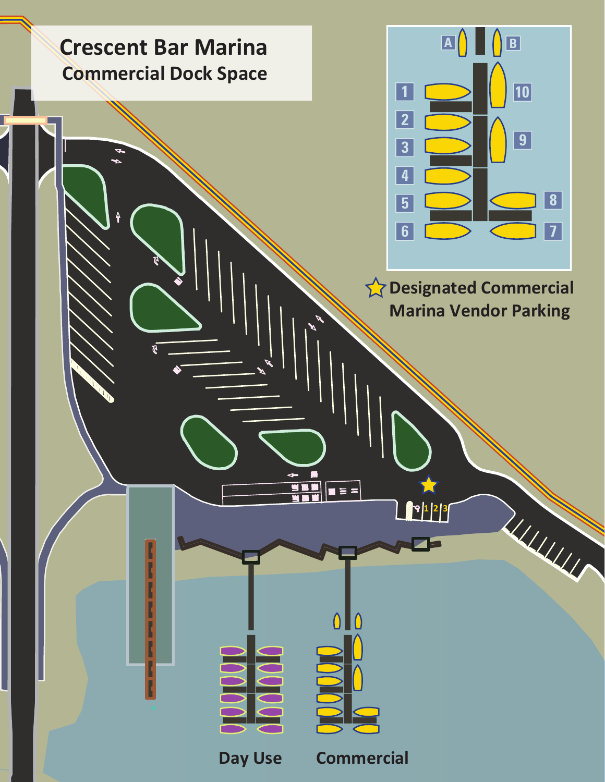